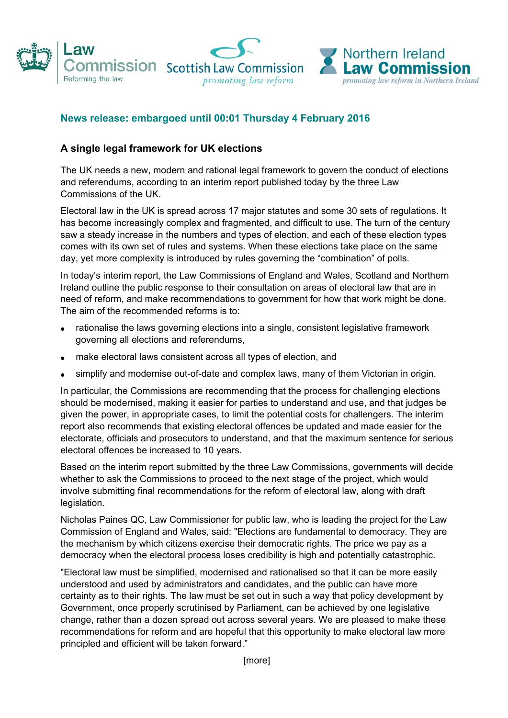

## **News release: embargoed until 00:01 Thursday 4 February 2016**

## **A single legal framework for UK elections**

The UK needs a new, modern and rational legal framework to govern the conduct of elections and referendums, according to an interim report published today by the three Law Commissions of the UK.

Electoral law in the UK is spread across 17 major statutes and some 30 sets of regulations. It has become increasingly complex and fragmented, and difficult to use. The turn of the century saw a steady increase in the numbers and types of election, and each of these election types comes with its own set of rules and systems. When these elections take place on the same day, yet more complexity is introduced by rules governing the "combination" of polls.

In today's interim report, the Law Commissions of England and Wales, Scotland and Northern Ireland outline the public response to their consultation on areas of electoral law that are in need of reform, and make recommendations to government for how that work might be done. The aim of the recommended reforms is to:

- rationalise the laws governing elections into a single, consistent legislative framework governing all elections and referendums,
- make electoral laws consistent across all types of election, and
- simplify and modernise out-of-date and complex laws, many of them Victorian in origin.

In particular, the Commissions are recommending that the process for challenging elections should be modernised, making it easier for parties to understand and use, and that judges be given the power, in appropriate cases, to limit the potential costs for challengers. The interim report also recommends that existing electoral offences be updated and made easier for the electorate, officials and prosecutors to understand, and that the maximum sentence for serious electoral offences be increased to 10 years.

Based on the interim report submitted by the three Law Commissions, governments will decide whether to ask the Commissions to proceed to the next stage of the project, which would involve submitting final recommendations for the reform of electoral law, along with draft legislation.

Nicholas Paines QC, Law Commissioner for public law, who is leading the project for the Law Commission of England and Wales, said: "Elections are fundamental to democracy. They are the mechanism by which citizens exercise their democratic rights. The price we pay as a democracy when the electoral process loses credibility is high and potentially catastrophic.

"Electoral law must be simplified, modernised and rationalised so that it can be more easily understood and used by administrators and candidates, and the public can have more certainty as to their rights. The law must be set out in such a way that policy development by Government, once properly scrutinised by Parliament, can be achieved by one legislative change, rather than a dozen spread out across several years. We are pleased to make these recommendations for reform and are hopeful that this opportunity to make electoral law more principled and efficient will be taken forward."